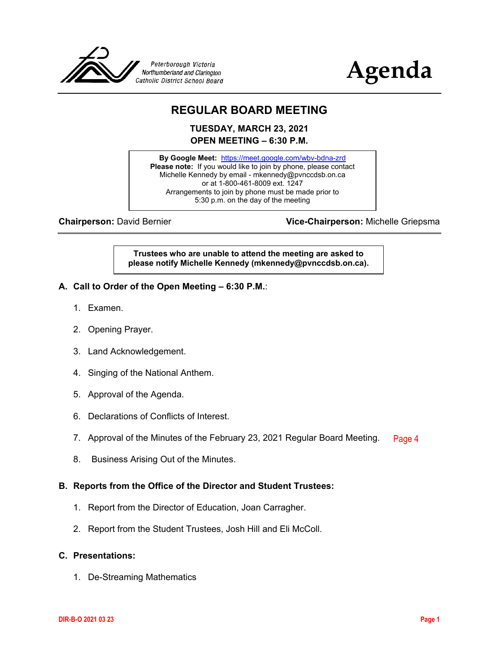



# **REGULAR BOARD MEETING**

**TUESDAY, MARCH 23, 2021 OPEN MEETING – 6:30 P.M.**

**By Google Meet:** <https://meet.google.com/wbv-bdna-zrd> **Please note:** If you would like to join by phone, please contact Michelle Kennedy by email - mkennedy@pvnccdsb.on.ca or at 1-800-461-8009 ext. 1247 Arrangements to join by phone must be made prior to 5:30 p.m. on the day of the meeting

**Chairperson:** David Bernier **Vice-Chairperson:** Michelle Griepsma

**Trustees who are unable to attend the meeting are asked to please notify Michelle Kennedy (mkennedy@pvnccdsb.on.ca).**

- **A. Call to Order of the Open Meeting – 6:30 P.M.**:
	- 1. Examen.
	- 2. Opening Prayer.
	- 3. Land Acknowledgement.
	- 4. Singing of the National Anthem.
	- 5. Approval of the Agenda.
	- 6. Declarations of Conflicts of Interest.
	- 7. Approval of the Minutes of the February 23, 2021 Regular Board Meeting. [Page 4](#page-3-0)
	- 8. Business Arising Out of the Minutes.

#### **B. Reports from the Office of the Director and Student Trustees:**

- 1. Report from the Director of Education, Joan Carragher.
- 2. Report from the Student Trustees, Josh Hill and Eli McColl.

#### **C. Presentations:**

1. De-Streaming Mathematics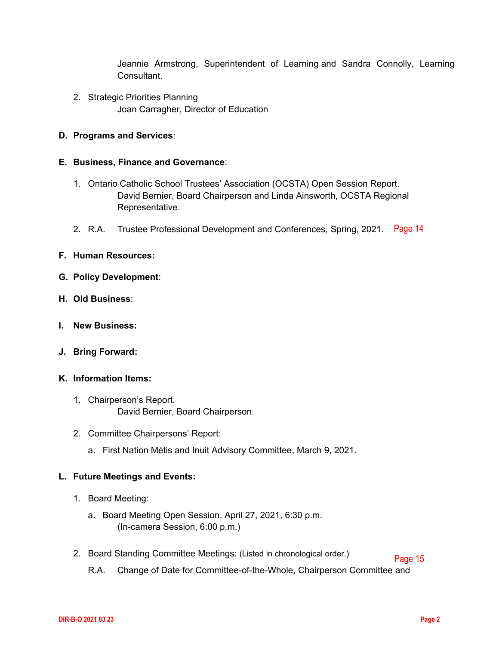Jeannie Armstrong, Superintendent of Learning and Sandra Connolly, Learning Consultant.

2. Strategic Priorities Planning Joan Carragher, Director of Education

## **D. Programs and Services**:

## **E. Business, Finance and Governance**:

- 1. Ontario Catholic School Trustees' Association (OCSTA) Open Session Report. David Bernier, Board Chairperson and Linda Ainsworth, OCSTA Regional Representative.
- 2. R.A. Trustee Professional Development and Conferences, Spring, 2021. [Page 14](#page-13-0)

## **F. Human Resources:**

- **G. Policy Development**:
- **H. Old Business**:
- **I. New Business:**
- **J. Bring Forward:**
- **K. Information Items:**
	- 1. Chairperson's Report. David Bernier, Board Chairperson.
	- 2. Committee Chairpersons' Report:
		- a. First Nation Métis and Inuit Advisory Committee, March 9, 2021.

## **L. Future Meetings and Events:**

- 1. Board Meeting:
	- a. Board Meeting Open Session, April 27, 2021, 6:30 p.m. (In-camera Session, 6:00 p.m.)
- 2. Board Standing Committee Meetings: (Listed in chronological order.) [Page 15](#page-14-0)
	- R.A. Change of Date for Committee-of-the-Whole, Chairperson Committee and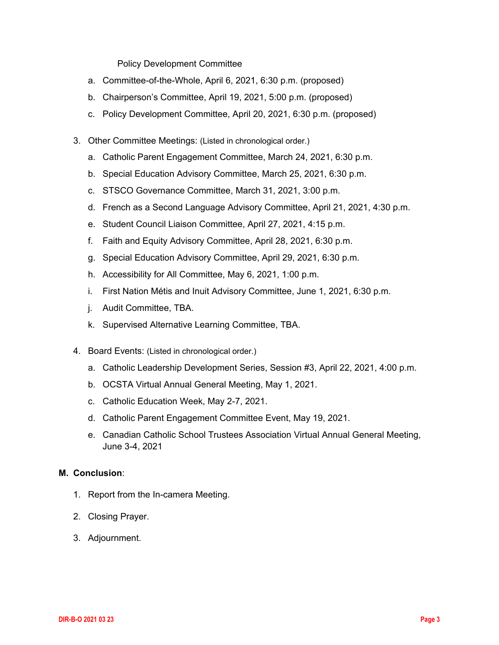Policy Development Committee

- a. Committee-of-the-Whole, April 6, 2021, 6:30 p.m. (proposed)
- b. Chairperson's Committee, April 19, 2021, 5:00 p.m. (proposed)
- c. Policy Development Committee, April 20, 2021, 6:30 p.m. (proposed)
- 3. Other Committee Meetings: (Listed in chronological order.)
	- a. Catholic Parent Engagement Committee, March 24, 2021, 6:30 p.m.
	- b. Special Education Advisory Committee, March 25, 2021, 6:30 p.m.
	- c. STSCO Governance Committee, March 31, 2021, 3:00 p.m.
	- d. French as a Second Language Advisory Committee, April 21, 2021, 4:30 p.m.
	- e. Student Council Liaison Committee, April 27, 2021, 4:15 p.m.
	- f. Faith and Equity Advisory Committee, April 28, 2021, 6:30 p.m.
	- g. Special Education Advisory Committee, April 29, 2021, 6:30 p.m.
	- h. Accessibility for All Committee, May 6, 2021, 1:00 p.m.
	- i. First Nation Métis and Inuit Advisory Committee, June 1, 2021, 6:30 p.m.
	- j. Audit Committee, TBA.
	- k. Supervised Alternative Learning Committee, TBA.
- 4. Board Events: (Listed in chronological order.)
	- a. Catholic Leadership Development Series, Session #3, April 22, 2021, 4:00 p.m.
	- b. OCSTA Virtual Annual General Meeting, May 1, 2021.
	- c. Catholic Education Week, May 2-7, 2021.
	- d. Catholic Parent Engagement Committee Event, May 19, 2021.
	- e. Canadian Catholic School Trustees Association Virtual Annual General Meeting, June 3-4, 2021

## **M. Conclusion**:

- 1. Report from the In-camera Meeting.
- 2. Closing Prayer.
- 3. Adjournment.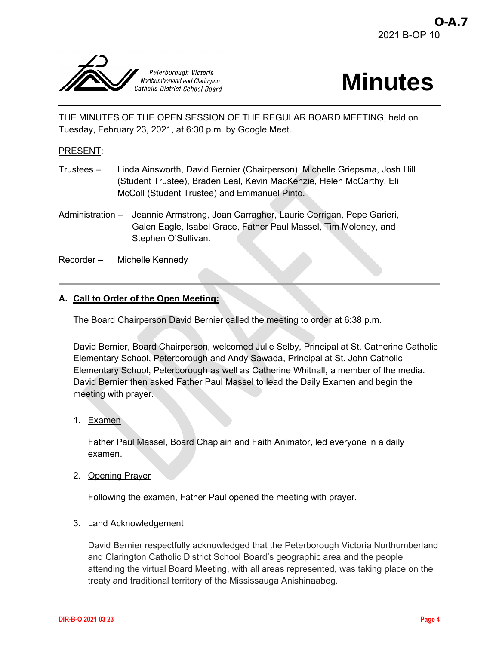<span id="page-3-0"></span>



THE MINUTES OF THE OPEN SESSION OF THE REGULAR BOARD MEETING, held on Tuesday, February 23, 2021, at 6:30 p.m. by Google Meet.

#### PRESENT:

- Trustees Linda Ainsworth, David Bernier (Chairperson), Michelle Griepsma, Josh Hill (Student Trustee), Braden Leal, Kevin MacKenzie, Helen McCarthy, Eli McColl (Student Trustee) and Emmanuel Pinto.
- Administration Jeannie Armstrong, Joan Carragher, Laurie Corrigan, Pepe Garieri, Galen Eagle, Isabel Grace, Father Paul Massel, Tim Moloney, and Stephen O'Sullivan.
- Recorder Michelle Kennedy

#### **A. Call to Order of the Open Meeting:**

The Board Chairperson David Bernier called the meeting to order at 6:38 p.m.

David Bernier, Board Chairperson, welcomed Julie Selby, Principal at St. Catherine Catholic Elementary School, Peterborough and Andy Sawada, Principal at St. John Catholic Elementary School, Peterborough as well as Catherine Whitnall, a member of the media. David Bernier then asked Father Paul Massel to lead the Daily Examen and begin the meeting with prayer.

1. Examen

Father Paul Massel, Board Chaplain and Faith Animator, led everyone in a daily examen.

2. Opening Prayer

Following the examen, Father Paul opened the meeting with prayer.

3. Land Acknowledgement

David Bernier respectfully acknowledged that the Peterborough Victoria Northumberland and Clarington Catholic District School Board's geographic area and the people attending the virtual Board Meeting, with all areas represented, was taking place on the treaty and traditional territory of the Mississauga Anishinaabeg.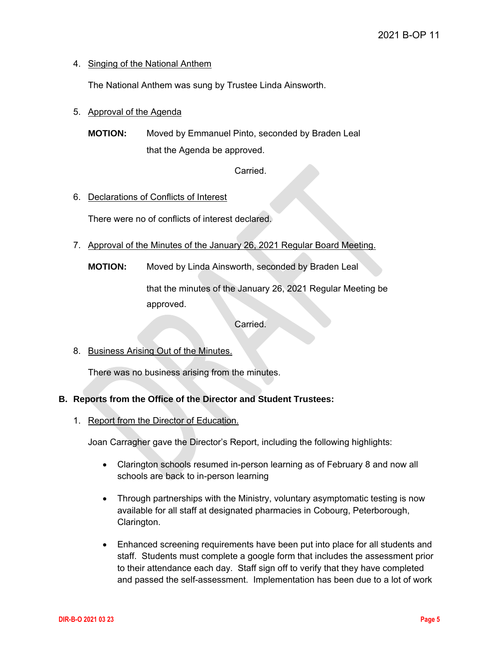## 4. Singing of the National Anthem

The National Anthem was sung by Trustee Linda Ainsworth.

## 5. Approval of the Agenda

**MOTION:** Moved by Emmanuel Pinto, seconded by Braden Leal that the Agenda be approved.

Carried.

## 6. Declarations of Conflicts of Interest

There were no of conflicts of interest declared.

- 7. Approval of the Minutes of the January 26, 2021 Regular Board Meeting.
	- **MOTION:** Moved by Linda Ainsworth, seconded by Braden Leal

that the minutes of the January 26, 2021 Regular Meeting be approved.

Carried.

8. Business Arising Out of the Minutes.

There was no business arising from the minutes.

## **B. Reports from the Office of the Director and Student Trustees:**

1. Report from the Director of Education.

Joan Carragher gave the Director's Report, including the following highlights:

- Clarington schools resumed in-person learning as of February 8 and now all schools are back to in-person learning
- Through partnerships with the Ministry, voluntary asymptomatic testing is now available for all staff at designated pharmacies in Cobourg, Peterborough, Clarington.
- Enhanced screening requirements have been put into place for all students and staff. Students must complete a google form that includes the assessment prior to their attendance each day. Staff sign off to verify that they have completed and passed the self-assessment. Implementation has been due to a lot of work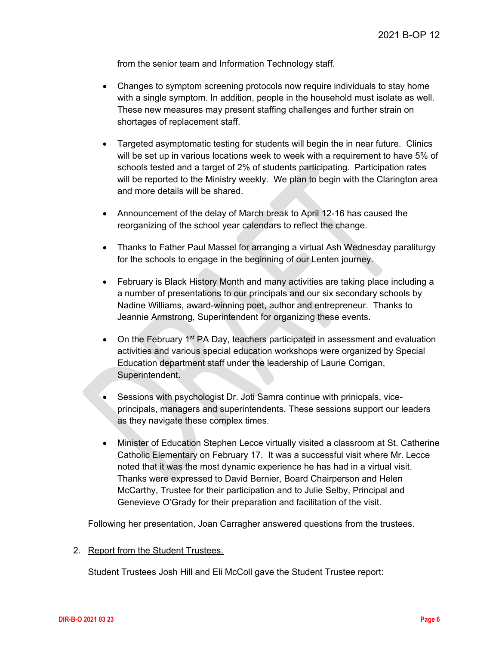from the senior team and Information Technology staff.

- Changes to symptom screening protocols now require individuals to stay home with a single symptom. In addition, people in the household must isolate as well. These new measures may present staffing challenges and further strain on shortages of replacement staff.
- Targeted asymptomatic testing for students will begin the in near future. Clinics will be set up in various locations week to week with a requirement to have 5% of schools tested and a target of 2% of students participating. Participation rates will be reported to the Ministry weekly. We plan to begin with the Clarington area and more details will be shared.
- Announcement of the delay of March break to April 12-16 has caused the reorganizing of the school year calendars to reflect the change.
- Thanks to Father Paul Massel for arranging a virtual Ash Wednesday paraliturgy for the schools to engage in the beginning of our Lenten journey.
- February is Black History Month and many activities are taking place including a a number of presentations to our principals and our six secondary schools by Nadine Williams, award-winning poet, author and entrepreneur. Thanks to Jeannie Armstrong, Superintendent for organizing these events.
- On the February 1<sup>st</sup> PA Day, teachers participated in assessment and evaluation activities and various special education workshops were organized by Special Education department staff under the leadership of Laurie Corrigan, Superintendent.
- Sessions with psychologist Dr. Joti Samra continue with prinicpals, viceprincipals, managers and superintendents. These sessions support our leaders as they navigate these complex times.
- Minister of Education Stephen Lecce virtually visited a classroom at St. Catherine Catholic Elementary on February 17. It was a successful visit where Mr. Lecce noted that it was the most dynamic experience he has had in a virtual visit. Thanks were expressed to David Bernier, Board Chairperson and Helen McCarthy, Trustee for their participation and to Julie Selby, Principal and Genevieve O'Grady for their preparation and facilitation of the visit.

Following her presentation, Joan Carragher answered questions from the trustees.

#### 2. Report from the Student Trustees.

Student Trustees Josh Hill and Eli McColl gave the Student Trustee report: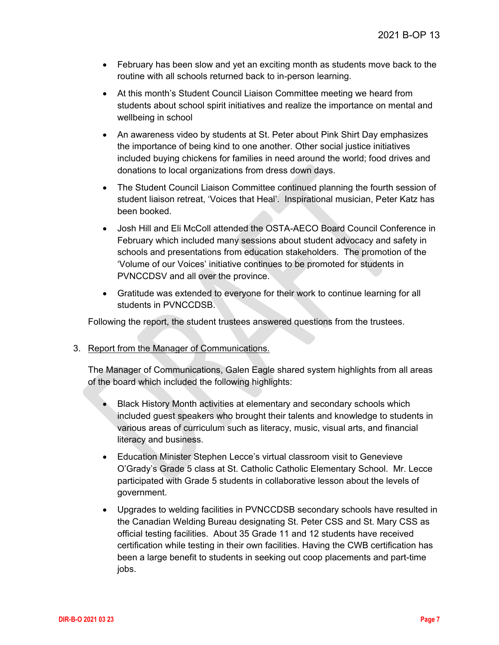- February has been slow and yet an exciting month as students move back to the routine with all schools returned back to in-person learning.
- At this month's Student Council Liaison Committee meeting we heard from students about school spirit initiatives and realize the importance on mental and wellbeing in school
- An awareness video by students at St. Peter about Pink Shirt Day emphasizes the importance of being kind to one another. Other social justice initiatives included buying chickens for families in need around the world; food drives and donations to local organizations from dress down days.
- The Student Council Liaison Committee continued planning the fourth session of student liaison retreat, 'Voices that Heal'. Inspirational musician, Peter Katz has been booked.
- Josh Hill and Eli McColl attended the OSTA-AECO Board Council Conference in February which included many sessions about student advocacy and safety in schools and presentations from education stakeholders. The promotion of the 'Volume of our Voices' initiative continues to be promoted for students in PVNCCDSV and all over the province.
- Gratitude was extended to everyone for their work to continue learning for all students in PVNCCDSB.

Following the report, the student trustees answered questions from the trustees.

3. Report from the Manager of Communications.

The Manager of Communications, Galen Eagle shared system highlights from all areas of the board which included the following highlights:

- Black History Month activities at elementary and secondary schools which included guest speakers who brought their talents and knowledge to students in various areas of curriculum such as literacy, music, visual arts, and financial literacy and business.
- Education Minister Stephen Lecce's virtual classroom visit to Genevieve O'Grady's Grade 5 class at St. Catholic Catholic Elementary School. Mr. Lecce participated with Grade 5 students in collaborative lesson about the levels of government.
- Upgrades to welding facilities in PVNCCDSB secondary schools have resulted in the Canadian Welding Bureau designating St. Peter CSS and St. Mary CSS as official testing facilities. About 35 Grade 11 and 12 students have received certification while testing in their own facilities. Having the CWB certification has been a large benefit to students in seeking out coop placements and part-time jobs.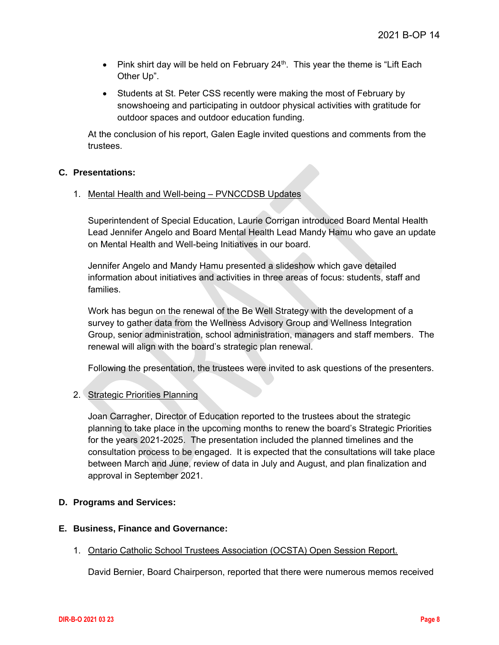- Pink shirt day will be held on February 24<sup>th</sup>. This year the theme is "Lift Each Other Up".
- Students at St. Peter CSS recently were making the most of February by snowshoeing and participating in outdoor physical activities with gratitude for outdoor spaces and outdoor education funding.

At the conclusion of his report, Galen Eagle invited questions and comments from the trustees.

#### **C. Presentations:**

#### 1. Mental Health and Well-being – PVNCCDSB Updates

Superintendent of Special Education, Laurie Corrigan introduced Board Mental Health Lead Jennifer Angelo and Board Mental Health Lead Mandy Hamu who gave an update on Mental Health and Well-being Initiatives in our board.

Jennifer Angelo and Mandy Hamu presented a slideshow which gave detailed information about initiatives and activities in three areas of focus: students, staff and families.

Work has begun on the renewal of the Be Well Strategy with the development of a survey to gather data from the Wellness Advisory Group and Wellness Integration Group, senior administration, school administration, managers and staff members. The renewal will align with the board's strategic plan renewal.

Following the presentation, the trustees were invited to ask questions of the presenters.

## 2. Strategic Priorities Planning

Joan Carragher, Director of Education reported to the trustees about the strategic planning to take place in the upcoming months to renew the board's Strategic Priorities for the years 2021-2025. The presentation included the planned timelines and the consultation process to be engaged. It is expected that the consultations will take place between March and June, review of data in July and August, and plan finalization and approval in September 2021.

## **D. Programs and Services:**

## **E. Business, Finance and Governance:**

1. Ontario Catholic School Trustees Association (OCSTA) Open Session Report.

David Bernier, Board Chairperson, reported that there were numerous memos received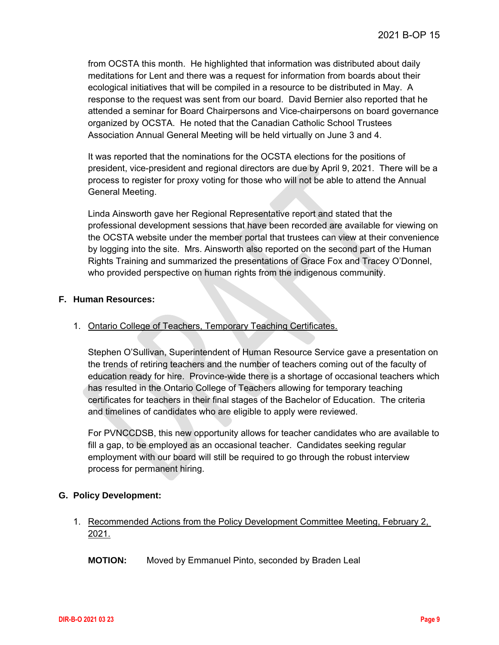from OCSTA this month. He highlighted that information was distributed about daily meditations for Lent and there was a request for information from boards about their ecological initiatives that will be compiled in a resource to be distributed in May. A response to the request was sent from our board. David Bernier also reported that he attended a seminar for Board Chairpersons and Vice-chairpersons on board governance organized by OCSTA. He noted that the Canadian Catholic School Trustees Association Annual General Meeting will be held virtually on June 3 and 4.

It was reported that the nominations for the OCSTA elections for the positions of president, vice-president and regional directors are due by April 9, 2021. There will be a process to register for proxy voting for those who will not be able to attend the Annual General Meeting.

Linda Ainsworth gave her Regional Representative report and stated that the professional development sessions that have been recorded are available for viewing on the OCSTA website under the member portal that trustees can view at their convenience by logging into the site. Mrs. Ainsworth also reported on the second part of the Human Rights Training and summarized the presentations of Grace Fox and Tracey O'Donnel, who provided perspective on human rights from the indigenous community.

#### **F. Human Resources:**

## 1. Ontario College of Teachers, Temporary Teaching Certificates.

Stephen O'Sullivan, Superintendent of Human Resource Service gave a presentation on the trends of retiring teachers and the number of teachers coming out of the faculty of education ready for hire. Province-wide there is a shortage of occasional teachers which has resulted in the Ontario College of Teachers allowing for temporary teaching certificates for teachers in their final stages of the Bachelor of Education. The criteria and timelines of candidates who are eligible to apply were reviewed.

For PVNCCDSB, this new opportunity allows for teacher candidates who are available to fill a gap, to be employed as an occasional teacher. Candidates seeking regular employment with our board will still be required to go through the robust interview process for permanent hiring.

## **G. Policy Development:**

## 1. Recommended Actions from the Policy Development Committee Meeting, February 2, 2021.

**MOTION:** Moved by Emmanuel Pinto, seconded by Braden Leal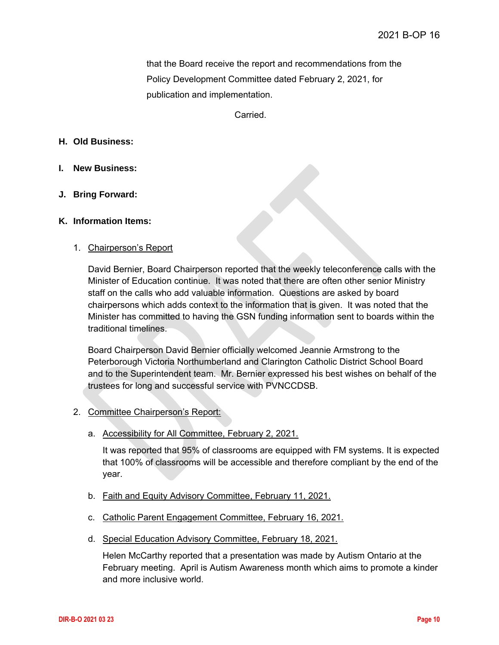that the Board receive the report and recommendations from the Policy Development Committee dated February 2, 2021, for publication and implementation.

Carried.

#### **H. Old Business:**

- **I. New Business:**
- **J. Bring Forward:**

#### **K. Information Items:**

#### 1. Chairperson's Report

David Bernier, Board Chairperson reported that the weekly teleconference calls with the Minister of Education continue. It was noted that there are often other senior Ministry staff on the calls who add valuable information. Questions are asked by board chairpersons which adds context to the information that is given. It was noted that the Minister has committed to having the GSN funding information sent to boards within the traditional timelines.

Board Chairperson David Bernier officially welcomed Jeannie Armstrong to the Peterborough Victoria Northumberland and Clarington Catholic District School Board and to the Superintendent team. Mr. Bernier expressed his best wishes on behalf of the trustees for long and successful service with PVNCCDSB.

## 2. Committee Chairperson's Report:

a. Accessibility for All Committee, February 2, 2021.

It was reported that 95% of classrooms are equipped with FM systems. It is expected that 100% of classrooms will be accessible and therefore compliant by the end of the year.

- b. Faith and Equity Advisory Committee, February 11, 2021.
- c. Catholic Parent Engagement Committee, February 16, 2021.
- d. Special Education Advisory Committee, February 18, 2021.

Helen McCarthy reported that a presentation was made by Autism Ontario at the February meeting. April is Autism Awareness month which aims to promote a kinder and more inclusive world.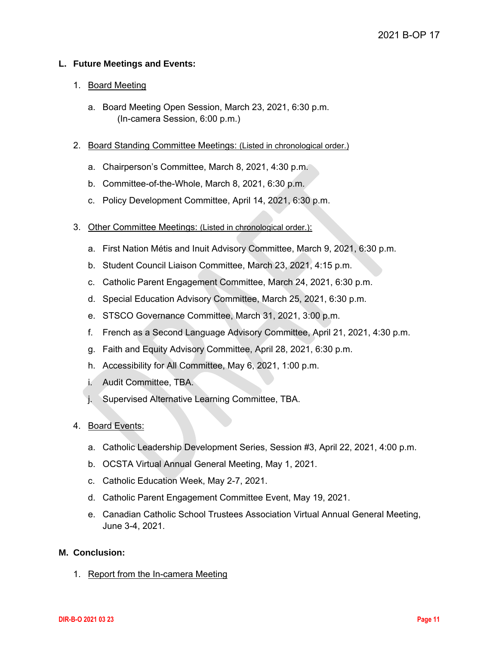## **L. Future Meetings and Events:**

#### 1. Board Meeting

- a. Board Meeting Open Session, March 23, 2021, 6:30 p.m. (In-camera Session, 6:00 p.m.)
- 2. Board Standing Committee Meetings: (Listed in chronological order.)
	- a. Chairperson's Committee, March 8, 2021, 4:30 p.m.
	- b. Committee-of-the-Whole, March 8, 2021, 6:30 p.m.
	- c. Policy Development Committee, April 14, 2021, 6:30 p.m.
- 3. Other Committee Meetings: (Listed in chronological order.):
	- a. First Nation Métis and Inuit Advisory Committee, March 9, 2021, 6:30 p.m.
	- b. Student Council Liaison Committee, March 23, 2021, 4:15 p.m.
	- c. Catholic Parent Engagement Committee, March 24, 2021, 6:30 p.m.
	- d. Special Education Advisory Committee, March 25, 2021, 6:30 p.m.
	- e. STSCO Governance Committee, March 31, 2021, 3:00 p.m.
	- f. French as a Second Language Advisory Committee, April 21, 2021, 4:30 p.m.
	- g. Faith and Equity Advisory Committee, April 28, 2021, 6:30 p.m.
	- h. Accessibility for All Committee, May 6, 2021, 1:00 p.m.
	- i. Audit Committee, TBA.
	- j. Supervised Alternative Learning Committee, TBA.

#### 4. Board Events:

- a. Catholic Leadership Development Series, Session #3, April 22, 2021, 4:00 p.m.
- b. OCSTA Virtual Annual General Meeting, May 1, 2021.
- c. Catholic Education Week, May 2-7, 2021.
- d. Catholic Parent Engagement Committee Event, May 19, 2021.
- e. Canadian Catholic School Trustees Association Virtual Annual General Meeting, June 3-4, 2021.

#### **M. Conclusion:**

1. Report from the In-camera Meeting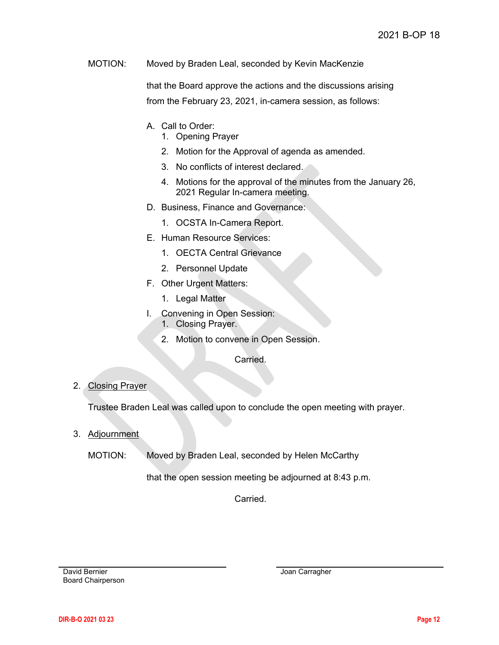MOTION: Moved by Braden Leal, seconded by Kevin MacKenzie

that the Board approve the actions and the discussions arising from the February 23, 2021, in-camera session, as follows:

- A. Call to Order:
	- 1. Opening Prayer
	- 2. Motion for the Approval of agenda as amended.
	- 3. No conflicts of interest declared.
	- 4. Motions for the approval of the minutes from the January 26, 2021 Regular In-camera meeting.
- D. Business, Finance and Governance:
	- 1. OCSTA In-Camera Report.
- E. Human Resource Services:
	- 1. OECTA Central Grievance
	- 2. Personnel Update
- F. Other Urgent Matters:
	- 1. Legal Matter
- I. Convening in Open Session:
	- 1. Closing Prayer.
	- 2. Motion to convene in Open Session.

Carried.

## 2. Closing Prayer

Trustee Braden Leal was called upon to conclude the open meeting with prayer.

## 3. Adjournment

MOTION: Moved by Braden Leal, seconded by Helen McCarthy

that the open session meeting be adjourned at 8:43 p.m.

Carried.

David Bernier Board Chairperson Joan Carragher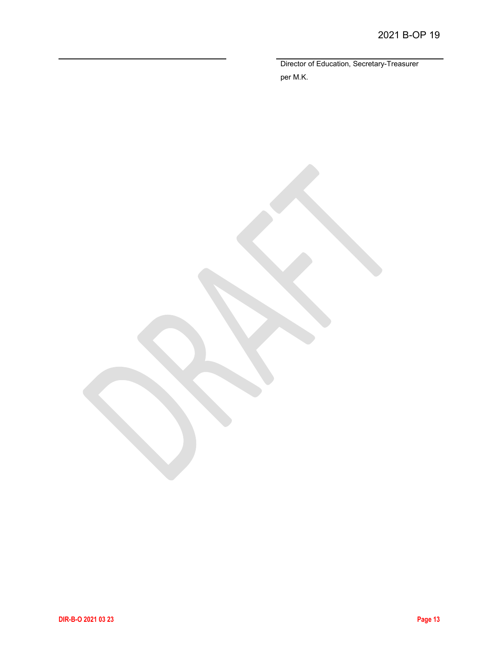Director of Education, Secretary-Treasurer per M.K.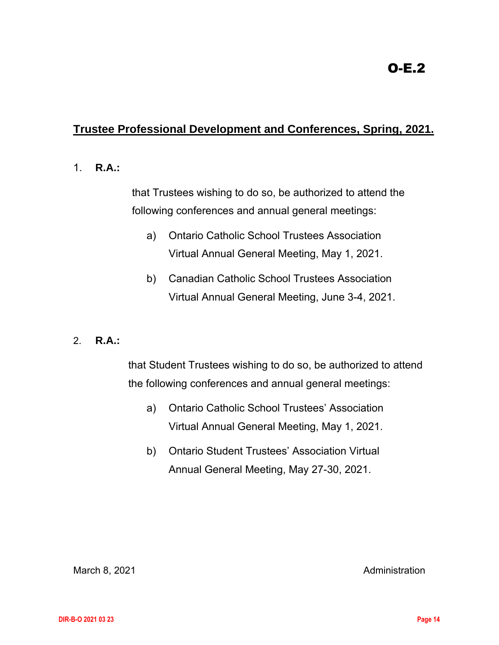# <span id="page-13-0"></span>**Trustee Professional Development and Conferences, Spring, 2021.**

## 1. **R.A.:**

that Trustees wishing to do so, be authorized to attend the following conferences and annual general meetings:

- a) Ontario Catholic School Trustees Association Virtual Annual General Meeting, May 1, 2021.
- b) Canadian Catholic School Trustees Association Virtual Annual General Meeting, June 3-4, 2021.

## 2. **R.A.:**

that Student Trustees wishing to do so, be authorized to attend the following conferences and annual general meetings:

- a) Ontario Catholic School Trustees' Association Virtual Annual General Meeting, May 1, 2021.
- b) Ontario Student Trustees' Association Virtual Annual General Meeting, May 27-30, 2021.

March 8, 2021 **Administration**